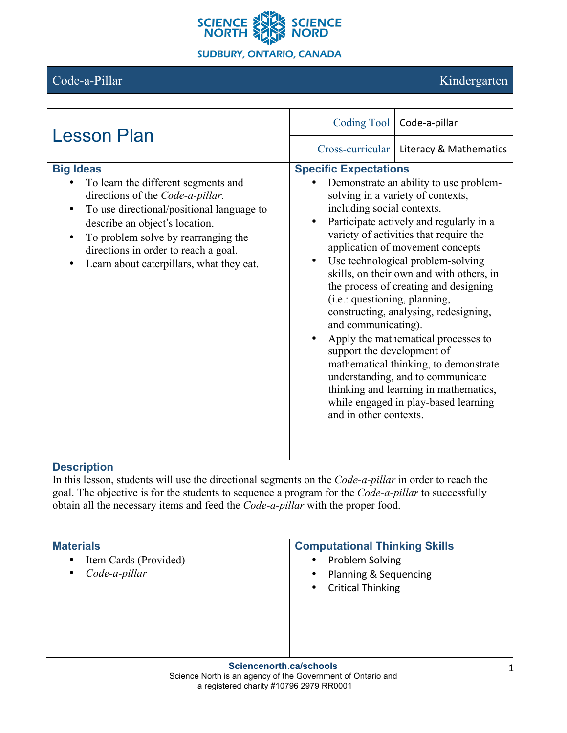

# Code-a-Pillar Kindergarten

| <b>Lesson Plan</b>                                                                                                                                                                                                                                                                                                 |                                                                                                                                                                                                                                                                                                                                                                                                                                                                                                                                                                                                                                                                                                                                                                                                                                                 | Coding Tool   Code-a-pillar |
|--------------------------------------------------------------------------------------------------------------------------------------------------------------------------------------------------------------------------------------------------------------------------------------------------------------------|-------------------------------------------------------------------------------------------------------------------------------------------------------------------------------------------------------------------------------------------------------------------------------------------------------------------------------------------------------------------------------------------------------------------------------------------------------------------------------------------------------------------------------------------------------------------------------------------------------------------------------------------------------------------------------------------------------------------------------------------------------------------------------------------------------------------------------------------------|-----------------------------|
|                                                                                                                                                                                                                                                                                                                    |                                                                                                                                                                                                                                                                                                                                                                                                                                                                                                                                                                                                                                                                                                                                                                                                                                                 |                             |
| <b>Big Ideas</b><br>To learn the different segments and<br>directions of the Code-a-pillar.<br>To use directional/positional language to<br>$\bullet$<br>describe an object's location.<br>To problem solve by rearranging the<br>directions in order to reach a goal.<br>Learn about caterpillars, what they eat. | Cross-curricular   Literacy & Mathematics<br><b>Specific Expectations</b><br>Demonstrate an ability to use problem-<br>solving in a variety of contexts,<br>including social contexts.<br>Participate actively and regularly in a<br>$\bullet$<br>variety of activities that require the<br>application of movement concepts<br>Use technological problem-solving<br>$\bullet$<br>skills, on their own and with others, in<br>the process of creating and designing<br>(i.e.: questioning, planning,<br>constructing, analysing, redesigning,<br>and communicating).<br>Apply the mathematical processes to<br>$\bullet$<br>support the development of<br>mathematical thinking, to demonstrate<br>understanding, and to communicate<br>thinking and learning in mathematics,<br>while engaged in play-based learning<br>and in other contexts. |                             |

## **Description**

In this lesson, students will use the directional segments on the *Code-a-pillar* in order to reach the goal. The objective is for the students to sequence a program for the *Code-a-pillar* to successfully obtain all the necessary items and feed the *Code-a-pillar* with the proper food.

| <b>Materials</b><br>Item Cards (Provided)<br>$\bullet$<br>Code-a-pillar<br>$\bullet$ | <b>Computational Thinking Skills</b><br>Problem Solving<br>$\bullet$<br>Planning & Sequencing<br>$\bullet$<br><b>Critical Thinking</b><br>$\bullet$ |
|--------------------------------------------------------------------------------------|-----------------------------------------------------------------------------------------------------------------------------------------------------|
|                                                                                      |                                                                                                                                                     |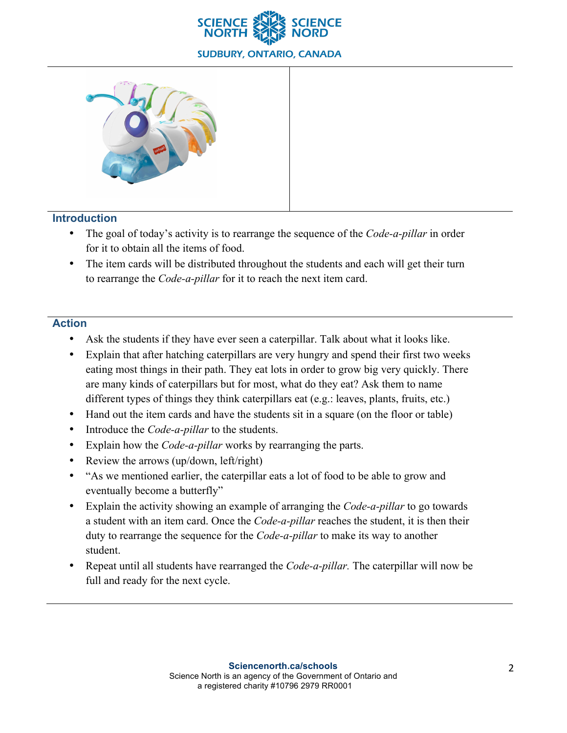



### **Introduction**

- The goal of today's activity is to rearrange the sequence of the *Code-a-pillar* in order for it to obtain all the items of food.
- The item cards will be distributed throughout the students and each will get their turn to rearrange the *Code-a-pillar* for it to reach the next item card.

### **Action**

- Ask the students if they have ever seen a caterpillar. Talk about what it looks like.
- Explain that after hatching caterpillars are very hungry and spend their first two weeks eating most things in their path. They eat lots in order to grow big very quickly. There are many kinds of caterpillars but for most, what do they eat? Ask them to name different types of things they think caterpillars eat (e.g.: leaves, plants, fruits, etc.)
- Hand out the item cards and have the students sit in a square (on the floor or table)
- Introduce the *Code-a-pillar* to the students.
- Explain how the *Code-a-pillar* works by rearranging the parts.
- Review the arrows (up/down, left/right)
- "As we mentioned earlier, the caterpillar eats a lot of food to be able to grow and eventually become a butterfly"
- Explain the activity showing an example of arranging the *Code-a-pillar* to go towards a student with an item card. Once the *Code-a-pillar* reaches the student, it is then their duty to rearrange the sequence for the *Code-a-pillar* to make its way to another student.
- Repeat until all students have rearranged the *Code-a-pillar.* The caterpillar will now be full and ready for the next cycle.